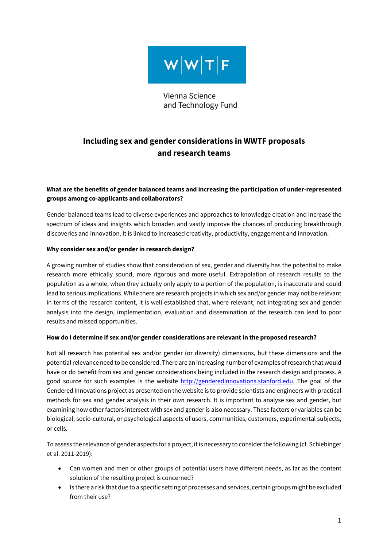

Vienna Science and Technology Fund

# **Including sex and gender considerations in WWTF proposals and research teams**

# **What are the benefits of gender balanced teams and increasing the participation of under-represented groups among co-applicants and collaborators?**

Gender balanced teams lead to diverse experiences and approaches to knowledge creation and increase the spectrum of ideas and insights which broaden and vastly improve the chances of producing breakthrough discoveries and innovation. It is linked to increased creativity, productivity, engagement and innovation.

### **Why consider sex and/or gender in research design?**

A growing number of studies show that consideration of sex, gender and diversity has the potential to make research more ethically sound, more rigorous and more useful. Extrapolation of research results to the population as a whole, when they actually only apply to a portion of the population, is inaccurate and could lead to serious implications. While there are research projects in which sex and/or gender may not be relevant in terms of the research content, it is well established that, where relevant, not integrating sex and gender analysis into the design, implementation, evaluation and dissemination of the research can lead to poor results and missed opportunities.

### **How do I determine if sex and/or gender considerations are relevant in the proposed research?**

Not all research has potential sex and/or gender (or diversity) dimensions, but these dimensions and the potential relevance need to be considered. There are an increasing number of examples of research that would have or do benefit from sex and gender considerations being included in the research design and process. A good source for such examples is the website http://genderedinnovations.stanford.edu. The goal of the Gendered Innovations project as presented on the website is to provide scientists and engineers with practical methods for sex and gender analysis in their own research. It is important to analyse sex and gender, but examining how other factors intersect with sex and gender is also necessary. These factors or variables can be biological, socio-cultural, or psychological aspects of users, communities, customers, experimental subjects, or cells.

To assess the relevance of gender aspects for a project, it is necessary to consider the following (cf. Schiebinger et al. 2011-2019):

- Can women and men or other groups of potential users have different needs, as far as the content solution of the resulting project is concerned?
- Is there a risk that due to a specific setting of processes and services, certain groups might be excluded from their use?